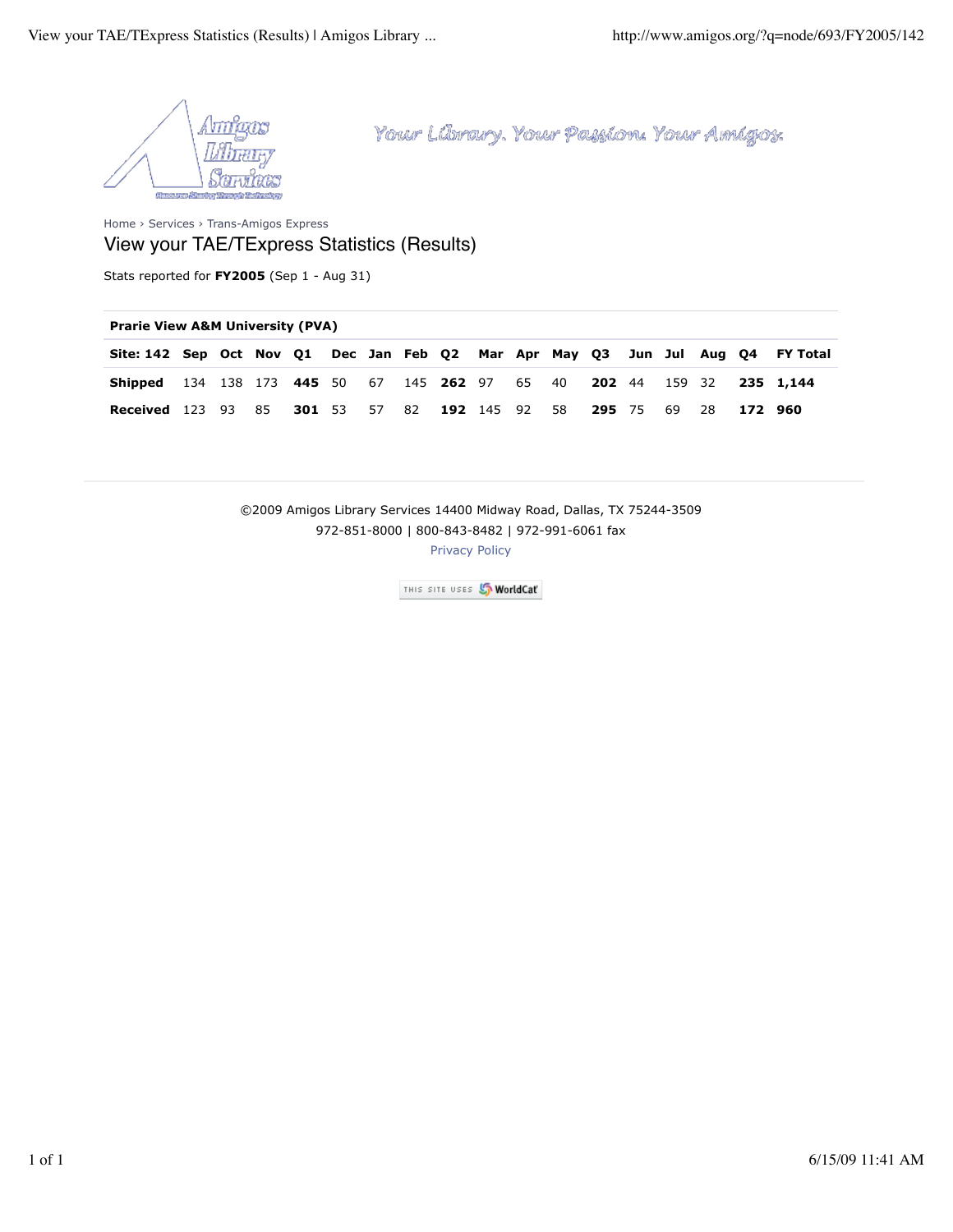

Home › Services › Trans-Amigos Express View your TAE/TExpress Statistics (Results)

Stats reported for **FY2005** (Sep 1 - Aug 31)

## **Prarie View A&M University (PVA)**

| Site: 142 Sep Oct Nov Q1 Dec Jan Feb Q2 Mar Apr May Q3 Jun Jul Aug Q4 FY Total |  |  |  |  |  |  |  |  |  |
|--------------------------------------------------------------------------------|--|--|--|--|--|--|--|--|--|
| <b>Shipped</b> 134 138 173 445 50 67 145 262 97 65 40 202 44 159 32 235 1,144  |  |  |  |  |  |  |  |  |  |
| Received 123 93 85 301 53 57 82 192 145 92 58 295 75 69 28 172 960             |  |  |  |  |  |  |  |  |  |

©2009 Amigos Library Services 14400 Midway Road, Dallas, TX 75244-3509 972-851-8000 | 800-843-8482 | 972-991-6061 fax

Privacy Policy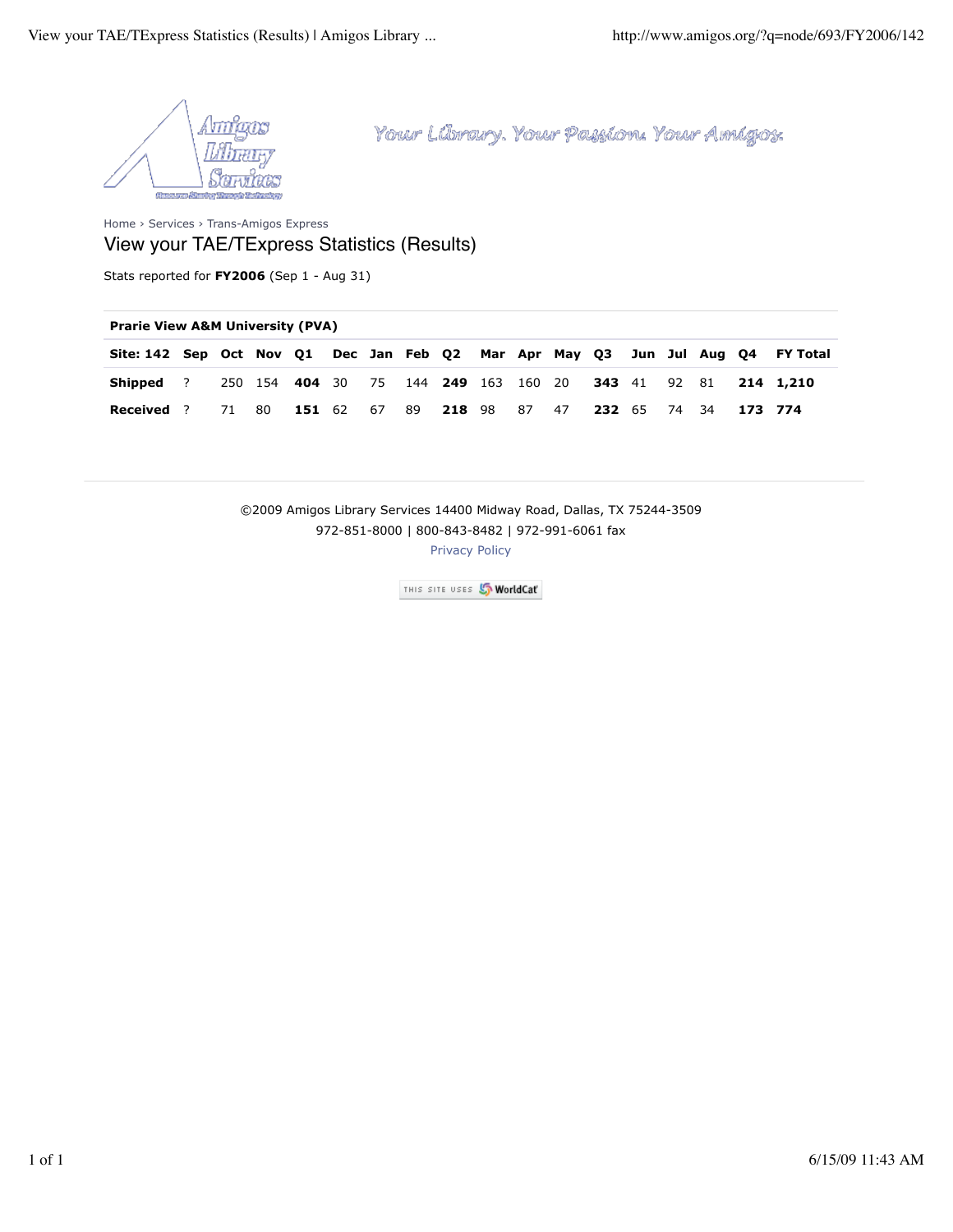

Home › Services › Trans-Amigos Express View your TAE/TExpress Statistics (Results)

Stats reported for **FY2006** (Sep 1 - Aug 31)

| Site: 142 Sep Oct Nov Q1 Dec Jan Feb Q2 Mar Apr May Q3 Jun Jul Aug Q4 FY Total |       |  |  |  |  |                                                                            |  |  |                                                             |
|--------------------------------------------------------------------------------|-------|--|--|--|--|----------------------------------------------------------------------------|--|--|-------------------------------------------------------------|
| <b>Shipped</b> ?                                                               |       |  |  |  |  |                                                                            |  |  | 250 154 404 30 75 144 249 163 160 20 343 41 92 81 214 1,210 |
| Received ?                                                                     | 71 80 |  |  |  |  | <b>151</b> 62 67 89 <b>218</b> 98 87 47 <b>232</b> 65 74 34 <b>173 774</b> |  |  |                                                             |

©2009 Amigos Library Services 14400 Midway Road, Dallas, TX 75244-3509 972-851-8000 | 800-843-8482 | 972-991-6061 fax

Privacy Policy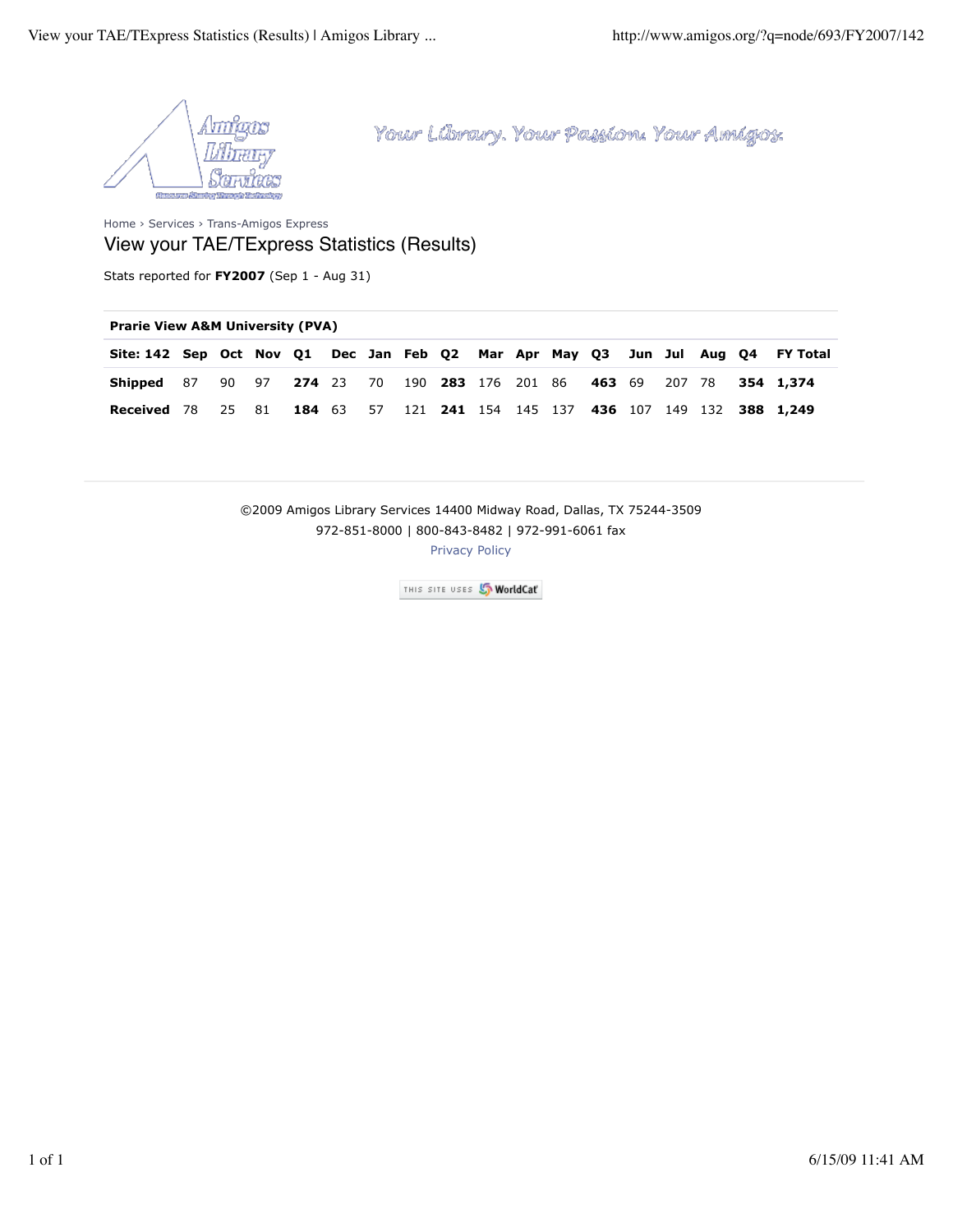

Home › Services › Trans-Amigos Express View your TAE/TExpress Statistics (Results)

Stats reported for **FY2007** (Sep 1 - Aug 31)

## **Prarie View A&M University (PVA)**

| Site: 142 Sep Oct Nov Q1 Dec Jan Feb Q2 Mar Apr May Q3 Jun Jul Aug Q4 FY Total                           |       |  |  |  |  |  |  |  |                                                         |
|----------------------------------------------------------------------------------------------------------|-------|--|--|--|--|--|--|--|---------------------------------------------------------|
| <b>Shipped</b> 87 90 97 <b>274</b> 23 70 190 <b>283</b> 176 201 86 <b>463</b> 69 207 78 <b>354 1,374</b> |       |  |  |  |  |  |  |  |                                                         |
| <b>Received</b> 78                                                                                       | 25 81 |  |  |  |  |  |  |  | 184 63 57 121 241 154 145 137 436 107 149 132 388 1,249 |

©2009 Amigos Library Services 14400 Midway Road, Dallas, TX 75244-3509 972-851-8000 | 800-843-8482 | 972-991-6061 fax

Privacy Policy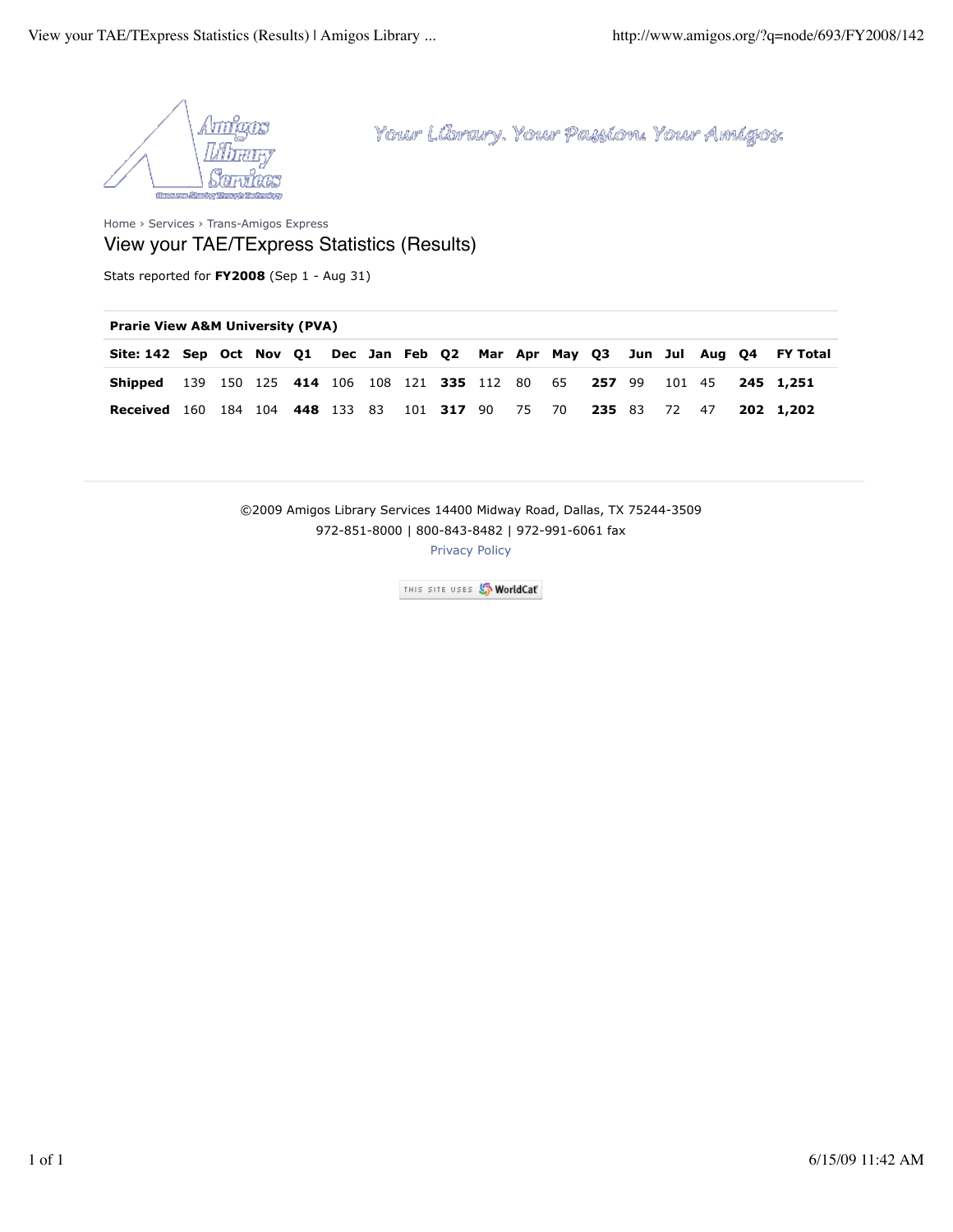

Home › Services › Trans-Amigos Express View your TAE/TExpress Statistics (Results)

Stats reported for **FY2008** (Sep 1 - Aug 31)

## **Prarie View A&M University (PVA)**

| Site: 142 Sep Oct Nov Q1 Dec Jan Feb Q2 Mar Apr May Q3 Jun Jul Aug Q4 FY Total   |  |  |  |  |  |  |  |  |  |
|----------------------------------------------------------------------------------|--|--|--|--|--|--|--|--|--|
| <b>Shipped</b> 139 150 125 414 106 108 121 335 112 80 65 257 99 101 45 245 1,251 |  |  |  |  |  |  |  |  |  |
| Received 160 184 104 448 133 83 101 317 90 75 70 235 83 72 47 202 1,202          |  |  |  |  |  |  |  |  |  |

©2009 Amigos Library Services 14400 Midway Road, Dallas, TX 75244-3509 972-851-8000 | 800-843-8482 | 972-991-6061 fax

Privacy Policy